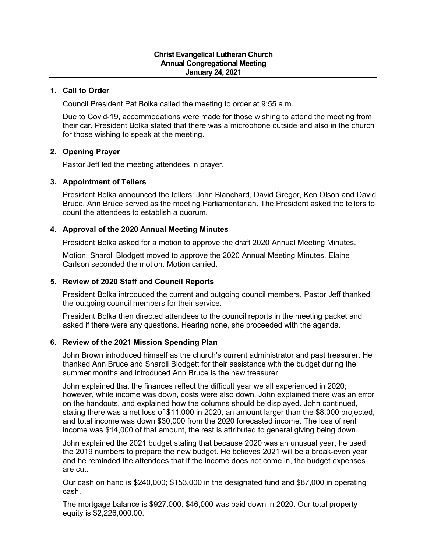### **1. Call to Order**

Council President Pat Bolka called the meeting to order at 9:55 a.m.

Due to Covid-19, accommodations were made for those wishing to attend the meeting from their car. President Bolka stated that there was a microphone outside and also in the church for those wishing to speak at the meeting.

### **2. Opening Prayer**

Pastor Jeff led the meeting attendees in prayer.

### **3. Appointment of Tellers**

President Bolka announced the tellers: John Blanchard, David Gregor, Ken Olson and David Bruce. Ann Bruce served as the meeting Parliamentarian. The President asked the tellers to count the attendees to establish a quorum.

## **4. Approval of the 2020 Annual Meeting Minutes**

President Bolka asked for a motion to approve the draft 2020 Annual Meeting Minutes.

Motion: Sharoll Blodgett moved to approve the 2020 Annual Meeting Minutes. Elaine Carlson seconded the motion. Motion carried.

# **5. Review of 2020 Staff and Council Reports**

President Bolka introduced the current and outgoing council members. Pastor Jeff thanked the outgoing council members for their service.

President Bolka then directed attendees to the council reports in the meeting packet and asked if there were any questions. Hearing none, she proceeded with the agenda.

### **6. Review of the 2021 Mission Spending Plan**

John Brown introduced himself as the church's current administrator and past treasurer. He thanked Ann Bruce and Sharoll Blodgett for their assistance with the budget during the summer months and introduced Ann Bruce is the new treasurer.

John explained that the finances reflect the difficult year we all experienced in 2020; however, while income was down, costs were also down. John explained there was an error on the handouts, and explained how the columns should be displayed. John continued, stating there was a net loss of \$11,000 in 2020, an amount larger than the \$8,000 projected, and total income was down \$30,000 from the 2020 forecasted income. The loss of rent income was \$14,000 of that amount, the rest is attributed to general giving being down.

John explained the 2021 budget stating that because 2020 was an unusual year, he used the 2019 numbers to prepare the new budget. He believes 2021 will be a break-even year and he reminded the attendees that if the income does not come in, the budget expenses are cut.

Our cash on hand is \$240,000; \$153,000 in the designated fund and \$87,000 in operating cash.

The mortgage balance is \$927,000. \$46,000 was paid down in 2020. Our total property equity is \$2,226,000.00.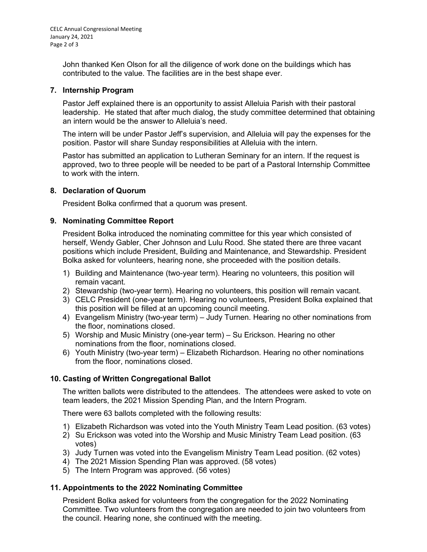John thanked Ken Olson for all the diligence of work done on the buildings which has contributed to the value. The facilities are in the best shape ever.

### **7. Internship Program**

Pastor Jeff explained there is an opportunity to assist Alleluia Parish with their pastoral leadership. He stated that after much dialog, the study committee determined that obtaining an intern would be the answer to Alleluia's need.

The intern will be under Pastor Jeff's supervision, and Alleluia will pay the expenses for the position. Pastor will share Sunday responsibilities at Alleluia with the intern.

Pastor has submitted an application to Lutheran Seminary for an intern. If the request is approved, two to three people will be needed to be part of a Pastoral Internship Committee to work with the intern.

## **8. Declaration of Quorum**

President Bolka confirmed that a quorum was present.

## **9. Nominating Committee Report**

President Bolka introduced the nominating committee for this year which consisted of herself, Wendy Gabler, Cher Johnson and Lulu Rood. She stated there are three vacant positions which include President, Building and Maintenance, and Stewardship. President Bolka asked for volunteers, hearing none, she proceeded with the position details.

- 1) Building and Maintenance (two-year term). Hearing no volunteers, this position will remain vacant.
- 2) Stewardship (two-year term). Hearing no volunteers, this position will remain vacant.
- 3) CELC President (one-year term). Hearing no volunteers, President Bolka explained that this position will be filled at an upcoming council meeting.
- 4) Evangelism Ministry (two-year term) Judy Turnen. Hearing no other nominations from the floor, nominations closed.
- 5) Worship and Music Ministry (one-year term) Su Erickson. Hearing no other nominations from the floor, nominations closed.
- 6) Youth Ministry (two-year term) Elizabeth Richardson. Hearing no other nominations from the floor, nominations closed.

# **10. Casting of Written Congregational Ballot**

The written ballots were distributed to the attendees. The attendees were asked to vote on team leaders, the 2021 Mission Spending Plan, and the Intern Program.

There were 63 ballots completed with the following results:

- 1) Elizabeth Richardson was voted into the Youth Ministry Team Lead position. (63 votes)
- 2) Su Erickson was voted into the Worship and Music Ministry Team Lead position. (63 votes)
- 3) Judy Turnen was voted into the Evangelism Ministry Team Lead position. (62 votes)
- 4) The 2021 Mission Spending Plan was approved. (58 votes)
- 5) The Intern Program was approved. (56 votes)

# **11. Appointments to the 2022 Nominating Committee**

President Bolka asked for volunteers from the congregation for the 2022 Nominating Committee. Two volunteers from the congregation are needed to join two volunteers from the council. Hearing none, she continued with the meeting.